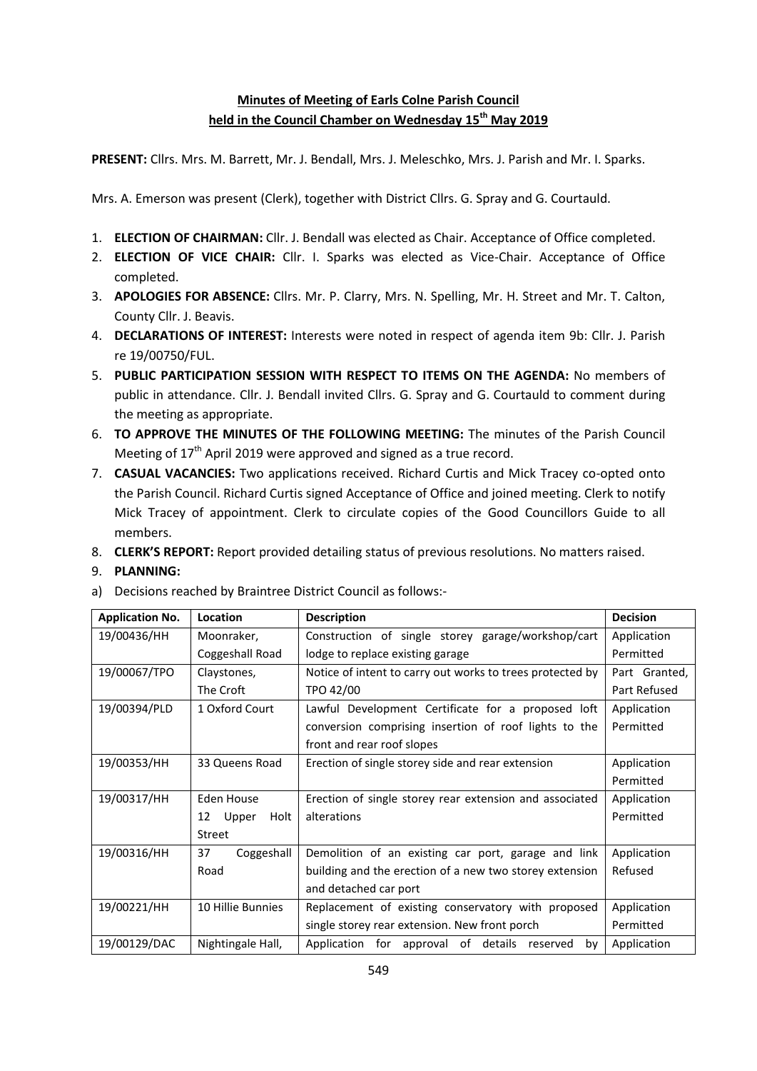# **Minutes of Meeting of Earls Colne Parish Council held in the Council Chamber on Wednesday 15th May 2019**

**PRESENT:** Cllrs. Mrs. M. Barrett, Mr. J. Bendall, Mrs. J. Meleschko, Mrs. J. Parish and Mr. I. Sparks.

Mrs. A. Emerson was present (Clerk), together with District Cllrs. G. Spray and G. Courtauld.

- 1. **ELECTION OF CHAIRMAN:** Cllr. J. Bendall was elected as Chair. Acceptance of Office completed.
- 2. **ELECTION OF VICE CHAIR:** Cllr. I. Sparks was elected as Vice-Chair. Acceptance of Office completed.
- 3. **APOLOGIES FOR ABSENCE:** Cllrs. Mr. P. Clarry, Mrs. N. Spelling, Mr. H. Street and Mr. T. Calton, County Cllr. J. Beavis.
- 4. **DECLARATIONS OF INTEREST:** Interests were noted in respect of agenda item 9b: Cllr. J. Parish re 19/00750/FUL.
- 5. **PUBLIC PARTICIPATION SESSION WITH RESPECT TO ITEMS ON THE AGENDA:** No members of public in attendance. Cllr. J. Bendall invited Cllrs. G. Spray and G. Courtauld to comment during the meeting as appropriate.
- 6. **TO APPROVE THE MINUTES OF THE FOLLOWING MEETING:** The minutes of the Parish Council Meeting of  $17<sup>th</sup>$  April 2019 were approved and signed as a true record.
- 7. **CASUAL VACANCIES:** Two applications received. Richard Curtis and Mick Tracey co-opted onto the Parish Council. Richard Curtis signed Acceptance of Office and joined meeting. Clerk to notify Mick Tracey of appointment. Clerk to circulate copies of the Good Councillors Guide to all members.
- 8. **CLERK'S REPORT:** Report provided detailing status of previous resolutions. No matters raised.
- 9. **PLANNING:**
- a) Decisions reached by Braintree District Council as follows:-

| <b>Application No.</b> | Location            | <b>Description</b>                                        | <b>Decision</b> |
|------------------------|---------------------|-----------------------------------------------------------|-----------------|
| 19/00436/HH            | Moonraker,          | Construction of single storey garage/workshop/cart        | Application     |
|                        | Coggeshall Road     | lodge to replace existing garage                          | Permitted       |
| 19/00067/TPO           | Claystones,         | Notice of intent to carry out works to trees protected by | Part Granted,   |
|                        | The Croft           | TPO 42/00                                                 | Part Refused    |
| 19/00394/PLD           | 1 Oxford Court      | Lawful Development Certificate for a proposed loft        | Application     |
|                        |                     | conversion comprising insertion of roof lights to the     | Permitted       |
|                        |                     | front and rear roof slopes                                |                 |
| 19/00353/HH            | 33 Queens Road      | Erection of single storey side and rear extension         | Application     |
|                        |                     |                                                           | Permitted       |
| 19/00317/HH            | Eden House          | Erection of single storey rear extension and associated   | Application     |
|                        | 12<br>Upper<br>Holt | alterations                                               | Permitted       |
|                        | Street              |                                                           |                 |
| 19/00316/HH            | 37<br>Coggeshall    | Demolition of an existing car port, garage and link       | Application     |
|                        | Road                | building and the erection of a new two storey extension   | Refused         |
|                        |                     | and detached car port                                     |                 |
| 19/00221/HH            | 10 Hillie Bunnies   | Replacement of existing conservatory with proposed        | Application     |
|                        |                     | single storey rear extension. New front porch             | Permitted       |
| 19/00129/DAC           | Nightingale Hall,   | Application for approval of details reserved<br>by        | Application     |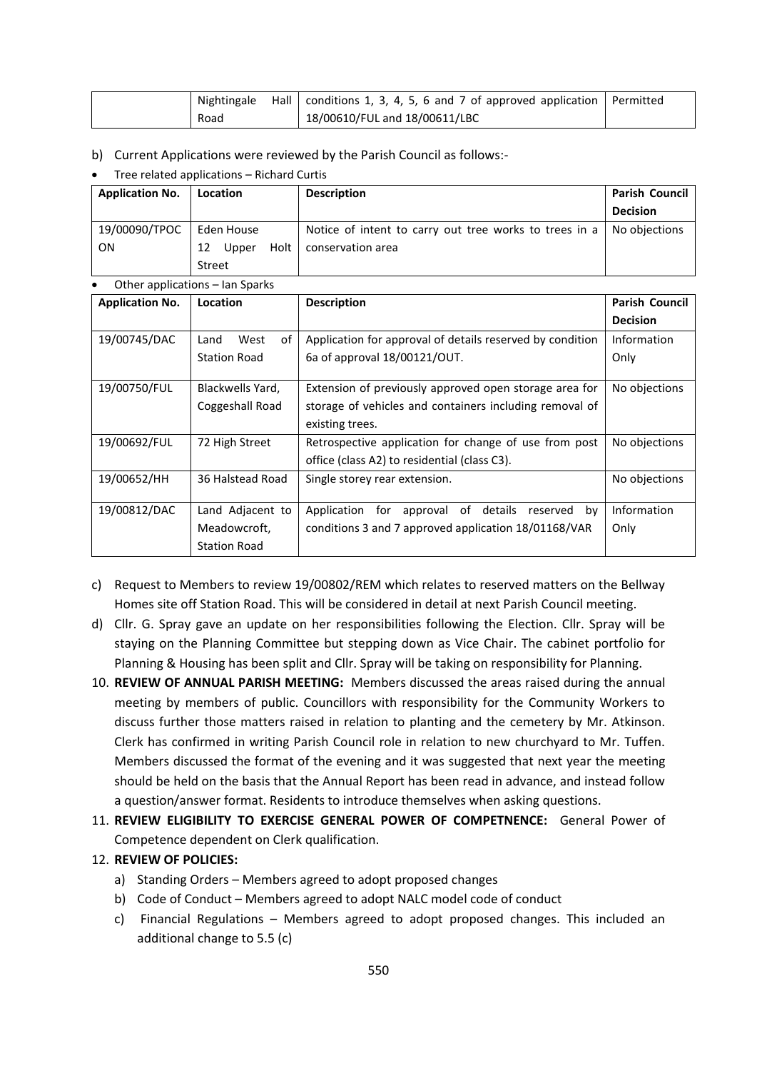| Nightingale | Hall $\vert$ conditions 1, 3, 4, 5, 6 and 7 of approved application $\vert$ Permitted |  |
|-------------|---------------------------------------------------------------------------------------|--|
| Road        | 18/00610/FUL and 18/00611/LBC                                                         |  |

### b) Current Applications were reviewed by the Parish Council as follows:-

#### Tree related applications – Richard Curtis

| <b>Application No.</b> | Location            | <b>Description</b>                                     | <b>Parish Council</b> |
|------------------------|---------------------|--------------------------------------------------------|-----------------------|
|                        |                     |                                                        | <b>Decision</b>       |
| 19/00090/TPOC          | Eden House          | Notice of intent to carry out tree works to trees in a | No objections         |
| <b>ON</b>              | Holt<br>12<br>Upper | conservation area                                      |                       |
|                        | <b>Street</b>       |                                                        |                       |

#### Other applications – Ian Sparks

| <b>Application No.</b> | Location            | <b>Description</b>                                        | <b>Parish Council</b> |
|------------------------|---------------------|-----------------------------------------------------------|-----------------------|
|                        |                     |                                                           | <b>Decision</b>       |
| 19/00745/DAC           | οf<br>West<br>Land  | Application for approval of details reserved by condition | <b>Information</b>    |
|                        | <b>Station Road</b> | 6a of approval 18/00121/OUT.                              | Only                  |
|                        |                     |                                                           |                       |
| 19/00750/FUL           | Blackwells Yard,    | Extension of previously approved open storage area for    | No objections         |
|                        | Coggeshall Road     | storage of vehicles and containers including removal of   |                       |
|                        |                     | existing trees.                                           |                       |
| 19/00692/FUL           | 72 High Street      | Retrospective application for change of use from post     | No objections         |
|                        |                     | office (class A2) to residential (class C3).              |                       |
| 19/00652/HH            | 36 Halstead Road    | Single storey rear extension.                             | No objections         |
|                        |                     |                                                           |                       |
| 19/00812/DAC           | Land Adjacent to    | approval of details<br>Application for<br>reserved by     | Information           |
|                        | Meadowcroft,        | conditions 3 and 7 approved application 18/01168/VAR      | Only                  |
|                        | <b>Station Road</b> |                                                           |                       |

c) Request to Members to review 19/00802/REM which relates to reserved matters on the Bellway Homes site off Station Road. This will be considered in detail at next Parish Council meeting.

- d) Cllr. G. Spray gave an update on her responsibilities following the Election. Cllr. Spray will be staying on the Planning Committee but stepping down as Vice Chair. The cabinet portfolio for Planning & Housing has been split and Cllr. Spray will be taking on responsibility for Planning.
- 10. **REVIEW OF ANNUAL PARISH MEETING:** Members discussed the areas raised during the annual meeting by members of public. Councillors with responsibility for the Community Workers to discuss further those matters raised in relation to planting and the cemetery by Mr. Atkinson. Clerk has confirmed in writing Parish Council role in relation to new churchyard to Mr. Tuffen. Members discussed the format of the evening and it was suggested that next year the meeting should be held on the basis that the Annual Report has been read in advance, and instead follow a question/answer format. Residents to introduce themselves when asking questions.
- 11. **REVIEW ELIGIBILITY TO EXERCISE GENERAL POWER OF COMPETNENCE:** General Power of Competence dependent on Clerk qualification.

## 12. **REVIEW OF POLICIES:**

- a) Standing Orders Members agreed to adopt proposed changes
- b) Code of Conduct Members agreed to adopt NALC model code of conduct
- c) Financial Regulations Members agreed to adopt proposed changes. This included an additional change to 5.5 (c)